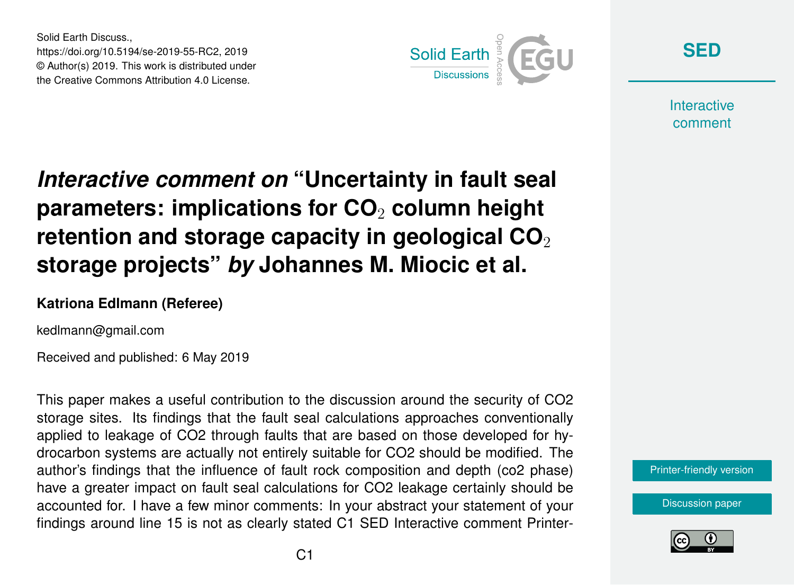Solid Earth Discuss., https://doi.org/10.5194/se-2019-55-RC2, 2019 © Author(s) 2019. This work is distributed under the Creative Commons Attribution 4.0 License.



**[SED](https://www.solid-earth-discuss.net/)**

**Interactive** comment

## *Interactive comment on* **"Uncertainty in fault seal parameters: implications for CO**<sup>2</sup> **column height retention and storage capacity in geological CO**<sub>2</sub> **storage projects"** *by* **Johannes M. Miocic et al.**

## **Katriona Edlmann (Referee)**

kedlmann@gmail.com

Received and published: 6 May 2019

This paper makes a useful contribution to the discussion around the security of CO2 storage sites. Its findings that the fault seal calculations approaches conventionally applied to leakage of CO2 through faults that are based on those developed for hydrocarbon systems are actually not entirely suitable for CO2 should be modified. The author's findings that the influence of fault rock composition and depth (co2 phase) have a greater impact on fault seal calculations for CO2 leakage certainly should be accounted for. I have a few minor comments: In your abstract your statement of your findings around line 15 is not as clearly stated C1 SED Interactive comment Printer-



[Discussion paper](https://www.solid-earth-discuss.net/se-2019-55)